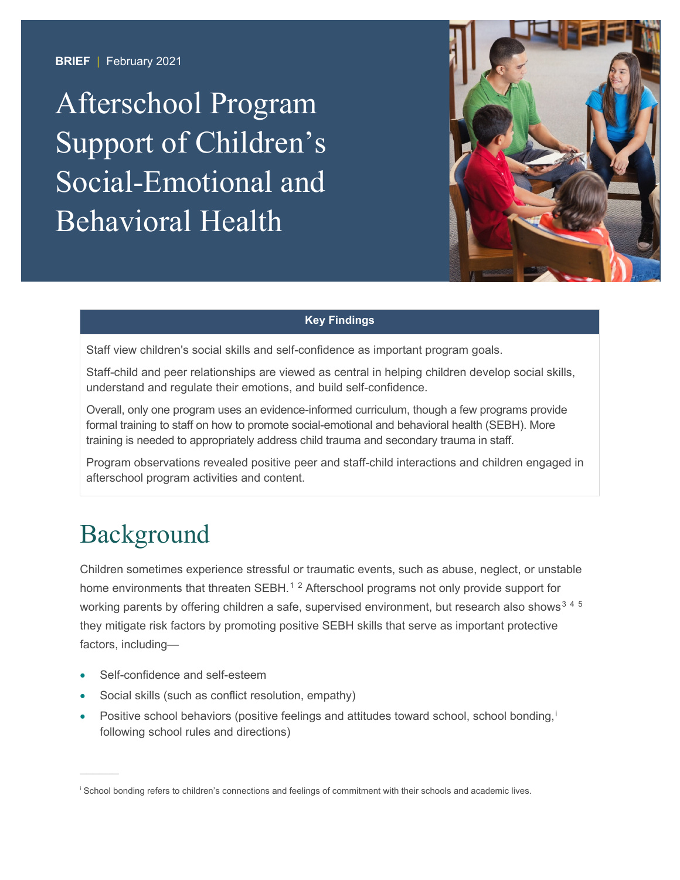**BRIEF** | February 2021

Afterschool Program Support of Children's Social-Emotional and Behavioral Health



### **Key Findings**

Staff view children's social skills and self-confidence as important program goals.

Staff-child and peer relationships are viewed as central in helping children develop social skills, understand and regulate their emotions, and build self-confidence.

Overall, only one program uses an evidence-informed curriculum, though a few programs provide formal training to staff on how to promote social-emotional and behavioral health (SEBH). More training is needed to appropriately address child trauma and secondary trauma in staff.

Program observations revealed positive peer and staff-child interactions and children engaged in afterschool program activities and content.

# Background

Children sometimes experience stressful or traumatic events, such as abuse, neglect, or unstable home environments that threaten SEBH.<sup>[1](#page-8-0)[2](#page-8-1)</sup> Afterschool programs not only provide support for working parents by offering children a safe, supervised environment, but research also shows<sup>[3](#page-8-2)[4](#page-8-3)[5](#page-8-4)</sup> they mitigate risk factors by promoting positive SEBH skills that serve as important protective factors, including—

- Self-confidence and self-esteem
- Social skills (such as conflict resolution, empathy)
- Pos[i](#page-0-0)tive school behaviors (positive feelings and attitudes toward school, school bonding,<sup>i</sup> following school rules and directions)

<span id="page-0-0"></span>i School bonding refers to children's connections and feelings of commitment with their schools and academic lives.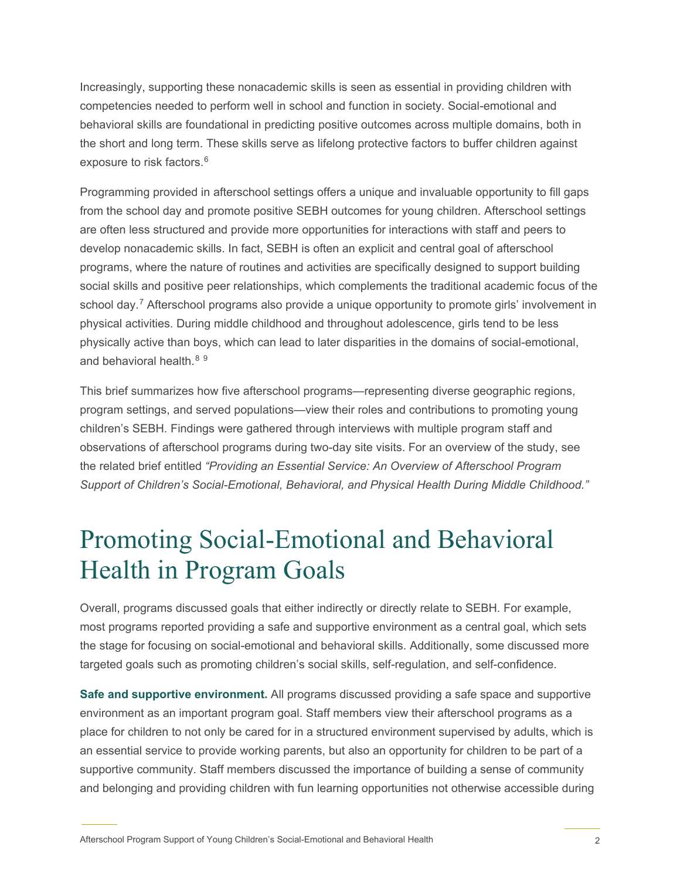Increasingly, supporting these nonacademic skills is seen as essential in providing children with competencies needed to perform well in school and function in society. Social-emotional and behavioral skills are foundational in predicting positive outcomes across multiple domains, both in the short and long term. These skills serve as lifelong protective factors to buffer children against exposure to risk factors. [6](#page-8-5)

Programming provided in afterschool settings offers a unique and invaluable opportunity to fill gaps from the school day and promote positive SEBH outcomes for young children. Afterschool settings are often less structured and provide more opportunities for interactions with staff and peers to develop nonacademic skills. In fact, SEBH is often an explicit and central goal of afterschool programs, where the nature of routines and activities are specifically designed to support building social skills and positive peer relationships, which complements the traditional academic focus of the school day.<sup>[7](#page-8-6)</sup> Afterschool programs also provide a unique opportunity to promote girls' involvement in physical activities. During middle childhood and throughout adolescence, girls tend to be less physically active than boys, which can lead to later disparities in the domains of social-emotional, and behavioral health. $89$  $89$ 

This brief summarizes how five afterschool programs—representing diverse geographic regions, program settings, and served populations—view their roles and contributions to promoting young children's SEBH. Findings were gathered through interviews with multiple program staff and observations of afterschool programs during two-day site visits. For an overview of the study, see the related brief entitled *"Providing an Essential Service: An Overview of Afterschool Program Support of Children's Social-Emotional, Behavioral, and Physical Health During Middle Childhood."*

# Promoting Social-Emotional and Behavioral Health in Program Goals

Overall, programs discussed goals that either indirectly or directly relate to SEBH. For example, most programs reported providing a safe and supportive environment as a central goal, which sets the stage for focusing on social-emotional and behavioral skills. Additionally, some discussed more targeted goals such as promoting children's social skills, self-regulation, and self-confidence.

**Safe and supportive environment.** All programs discussed providing a safe space and supportive environment as an important program goal. Staff members view their afterschool programs as a place for children to not only be cared for in a structured environment supervised by adults, which is an essential service to provide working parents, but also an opportunity for children to be part of a supportive community. Staff members discussed the importance of building a sense of community and belonging and providing children with fun learning opportunities not otherwise accessible during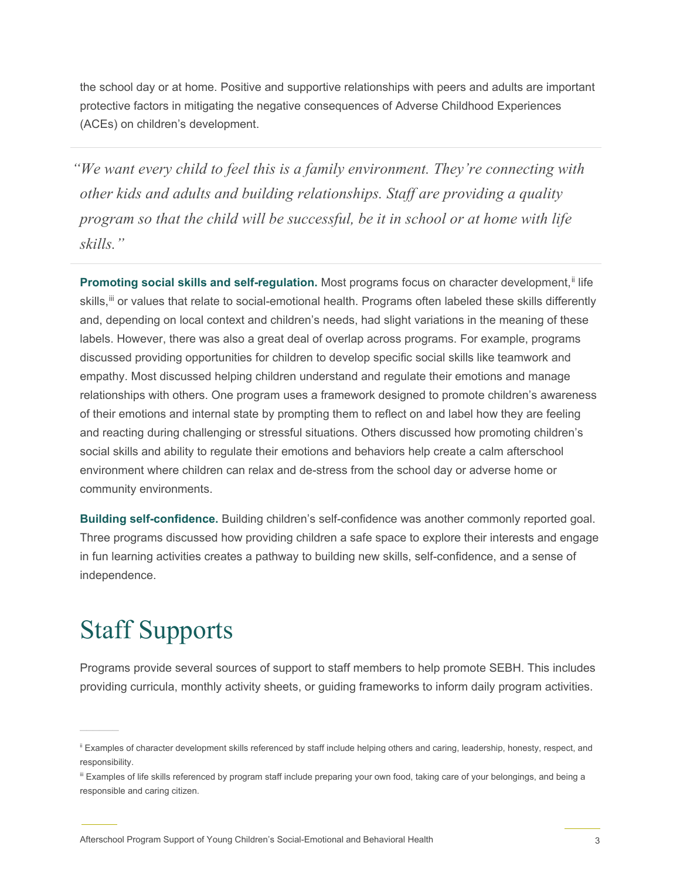the school day or at home. Positive and supportive relationships with peers and adults are important protective factors in mitigating the negative consequences of Adverse Childhood Experiences (ACEs) on children's development.

*"We want every child to feel this is a family environment. They're connecting with other kids and adults and building relationships. Staff are providing a quality program so that the child will be successful, be it in school or at home with life skills."*

**Promoting social skills and self-regulation.** Most programs focus on character development,<sup>[ii](#page-2-0)</sup> life skills, [iii](#page-2-1) or values that relate to social-emotional health. Programs often labeled these skills differently and, depending on local context and children's needs, had slight variations in the meaning of these labels. However, there was also a great deal of overlap across programs. For example, programs discussed providing opportunities for children to develop specific social skills like teamwork and empathy. Most discussed helping children understand and regulate their emotions and manage relationships with others. One program uses a framework designed to promote children's awareness of their emotions and internal state by prompting them to reflect on and label how they are feeling and reacting during challenging or stressful situations. Others discussed how promoting children's social skills and ability to regulate their emotions and behaviors help create a calm afterschool environment where children can relax and de-stress from the school day or adverse home or community environments.

**Building self-confidence.** Building children's self-confidence was another commonly reported goal. Three programs discussed how providing children a safe space to explore their interests and engage in fun learning activities creates a pathway to building new skills, self-confidence, and a sense of independence.

## Staff Supports

Programs provide several sources of support to staff members to help promote SEBH. This includes providing curricula, monthly activity sheets, or guiding frameworks to inform daily program activities.

<span id="page-2-0"></span>ii Examples of character development skills referenced by staff include helping others and caring, leadership, honesty, respect, and responsibility.

<span id="page-2-1"></span>iii Examples of life skills referenced by program staff include preparing your own food, taking care of your belongings, and being a responsible and caring citizen.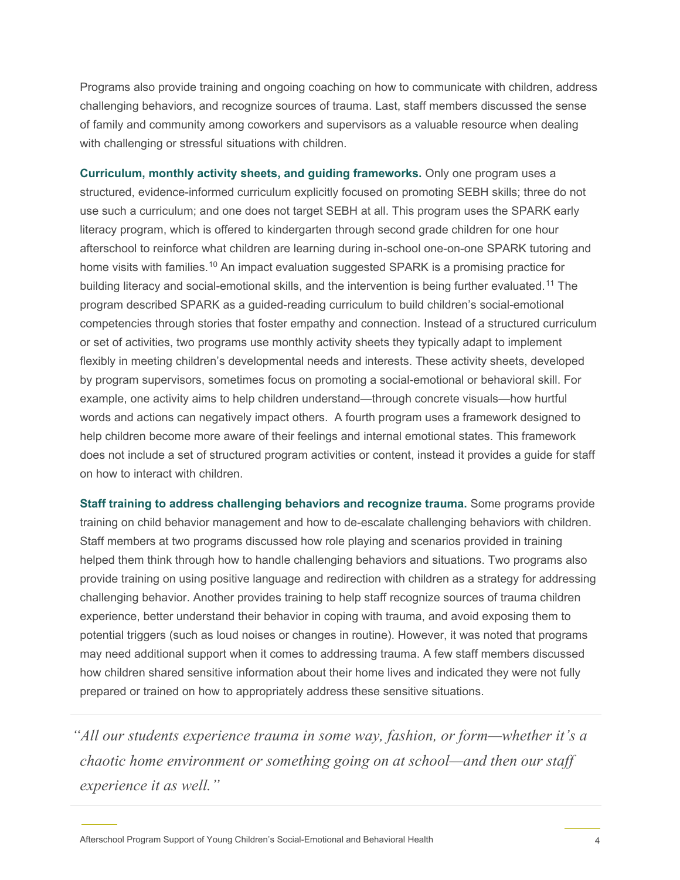Programs also provide training and ongoing coaching on how to communicate with children, address challenging behaviors, and recognize sources of trauma. Last, staff members discussed the sense of family and community among coworkers and supervisors as a valuable resource when dealing with challenging or stressful situations with children.

**Curriculum, monthly activity sheets, and guiding frameworks.** Only one program uses a structured, evidence-informed curriculum explicitly focused on promoting SEBH skills; three do not use such a curriculum; and one does not target SEBH at all. This program uses the SPARK early literacy program, which is offered to kindergarten through second grade children for one hour afterschool to reinforce what children are learning during in-school one-on-one SPARK tutoring and home visits with families.<sup>[10](#page-8-9)</sup> An impact evaluation suggested SPARK is a promising practice for building literacy and social-emotional skills, and the intervention is being further evaluated.[11](#page-8-10) The program described SPARK as a guided-reading curriculum to build children's social-emotional competencies through stories that foster empathy and connection. Instead of a structured curriculum or set of activities, two programs use monthly activity sheets they typically adapt to implement flexibly in meeting children's developmental needs and interests. These activity sheets, developed by program supervisors, sometimes focus on promoting a social-emotional or behavioral skill. For example, one activity aims to help children understand—through concrete visuals—how hurtful words and actions can negatively impact others. A fourth program uses a framework designed to help children become more aware of their feelings and internal emotional states. This framework does not include a set of structured program activities or content, instead it provides a guide for staff on how to interact with children.

**Staff training to address challenging behaviors and recognize trauma.** Some programs provide training on child behavior management and how to de-escalate challenging behaviors with children. Staff members at two programs discussed how role playing and scenarios provided in training helped them think through how to handle challenging behaviors and situations. Two programs also provide training on using positive language and redirection with children as a strategy for addressing challenging behavior. Another provides training to help staff recognize sources of trauma children experience, better understand their behavior in coping with trauma, and avoid exposing them to potential triggers (such as loud noises or changes in routine). However, it was noted that programs may need additional support when it comes to addressing trauma. A few staff members discussed how children shared sensitive information about their home lives and indicated they were not fully prepared or trained on how to appropriately address these sensitive situations.

*"All our students experience trauma in some way, fashion, or form—whether it's a chaotic home environment or something going on at school—and then our staff experience it as well."*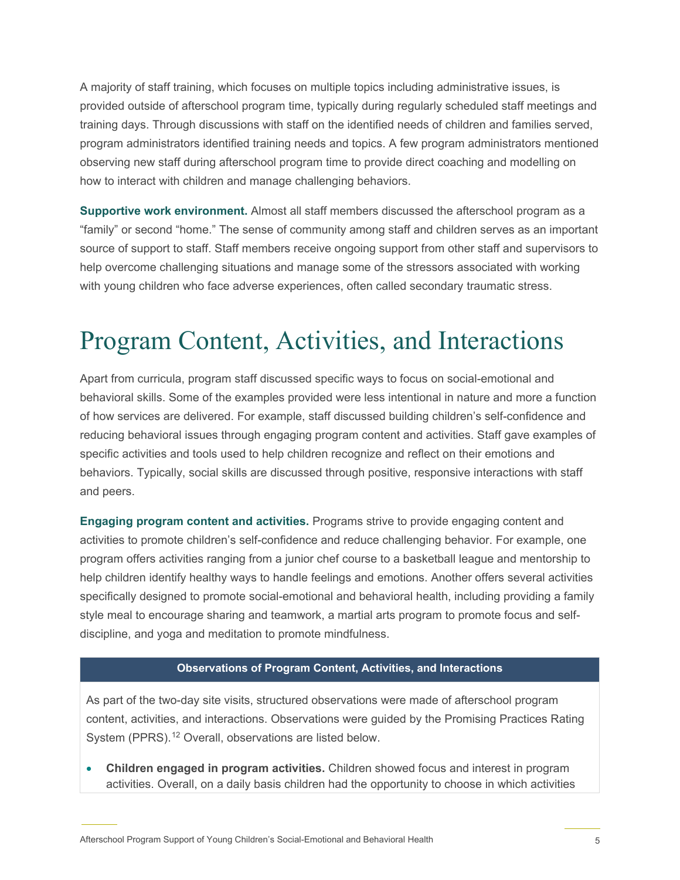A majority of staff training, which focuses on multiple topics including administrative issues, is provided outside of afterschool program time, typically during regularly scheduled staff meetings and training days. Through discussions with staff on the identified needs of children and families served, program administrators identified training needs and topics. A few program administrators mentioned observing new staff during afterschool program time to provide direct coaching and modelling on how to interact with children and manage challenging behaviors.

**Supportive work environment.** Almost all staff members discussed the afterschool program as a "family" or second "home." The sense of community among staff and children serves as an important source of support to staff. Staff members receive ongoing support from other staff and supervisors to help overcome challenging situations and manage some of the stressors associated with working with young children who face adverse experiences, often called secondary traumatic stress.

## Program Content, Activities, and Interactions

Apart from curricula, program staff discussed specific ways to focus on social-emotional and behavioral skills. Some of the examples provided were less intentional in nature and more a function of how services are delivered. For example, staff discussed building children's self-confidence and reducing behavioral issues through engaging program content and activities. Staff gave examples of specific activities and tools used to help children recognize and reflect on their emotions and behaviors. Typically, social skills are discussed through positive, responsive interactions with staff and peers.

**Engaging program content and activities.** Programs strive to provide engaging content and activities to promote children's self-confidence and reduce challenging behavior. For example, one program offers activities ranging from a junior chef course to a basketball league and mentorship to help children identify healthy ways to handle feelings and emotions. Another offers several activities specifically designed to promote social-emotional and behavioral health, including providing a family style meal to encourage sharing and teamwork, a martial arts program to promote focus and selfdiscipline, and yoga and meditation to promote mindfulness.

### **Observations of Program Content, Activities, and Interactions**

As part of the two-day site visits, structured observations were made of afterschool program content, activities, and interactions. Observations were guided by the Promising Practices Rating System (PPRS).<sup>[12](#page-8-11)</sup> Overall, observations are listed below.

• **Children engaged in program activities.** Children showed focus and interest in program activities. Overall, on a daily basis children had the opportunity to choose in which activities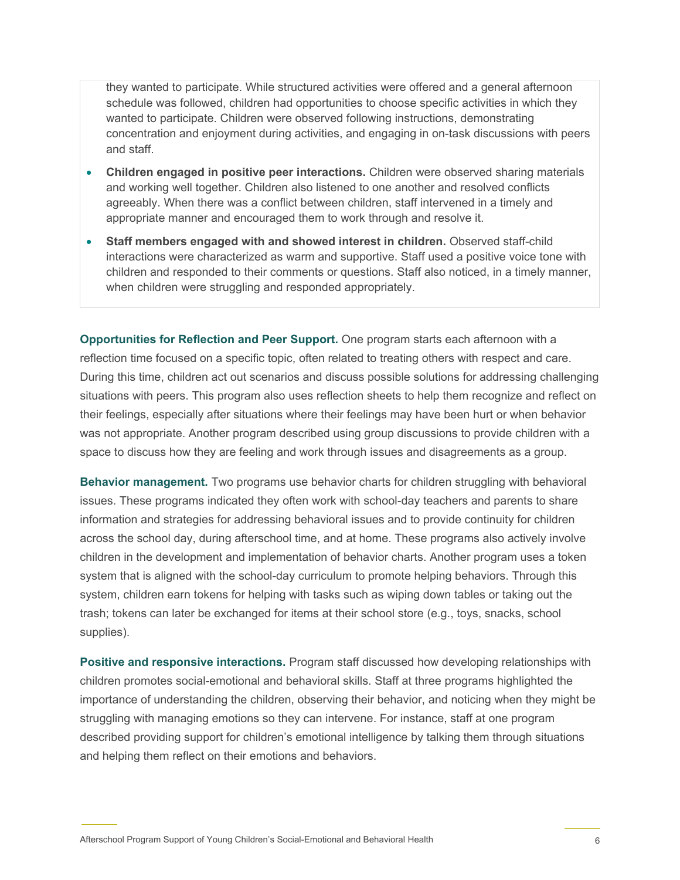they wanted to participate. While structured activities were offered and a general afternoon schedule was followed, children had opportunities to choose specific activities in which they wanted to participate. Children were observed following instructions, demonstrating concentration and enjoyment during activities, and engaging in on-task discussions with peers and staff.

- **Children engaged in positive peer interactions.** Children were observed sharing materials and working well together. Children also listened to one another and resolved conflicts agreeably. When there was a conflict between children, staff intervened in a timely and appropriate manner and encouraged them to work through and resolve it.
- **Staff members engaged with and showed interest in children.** Observed staff-child interactions were characterized as warm and supportive. Staff used a positive voice tone with children and responded to their comments or questions. Staff also noticed, in a timely manner, when children were struggling and responded appropriately.

**Opportunities for Reflection and Peer Support.** One program starts each afternoon with a reflection time focused on a specific topic, often related to treating others with respect and care. During this time, children act out scenarios and discuss possible solutions for addressing challenging situations with peers. This program also uses reflection sheets to help them recognize and reflect on their feelings, especially after situations where their feelings may have been hurt or when behavior was not appropriate. Another program described using group discussions to provide children with a space to discuss how they are feeling and work through issues and disagreements as a group.

**Behavior management.** Two programs use behavior charts for children struggling with behavioral issues. These programs indicated they often work with school-day teachers and parents to share information and strategies for addressing behavioral issues and to provide continuity for children across the school day, during afterschool time, and at home. These programs also actively involve children in the development and implementation of behavior charts. Another program uses a token system that is aligned with the school-day curriculum to promote helping behaviors. Through this system, children earn tokens for helping with tasks such as wiping down tables or taking out the trash; tokens can later be exchanged for items at their school store (e.g., toys, snacks, school supplies).

**Positive and responsive interactions.** Program staff discussed how developing relationships with children promotes social-emotional and behavioral skills. Staff at three programs highlighted the importance of understanding the children, observing their behavior, and noticing when they might be struggling with managing emotions so they can intervene. For instance, staff at one program described providing support for children's emotional intelligence by talking them through situations and helping them reflect on their emotions and behaviors.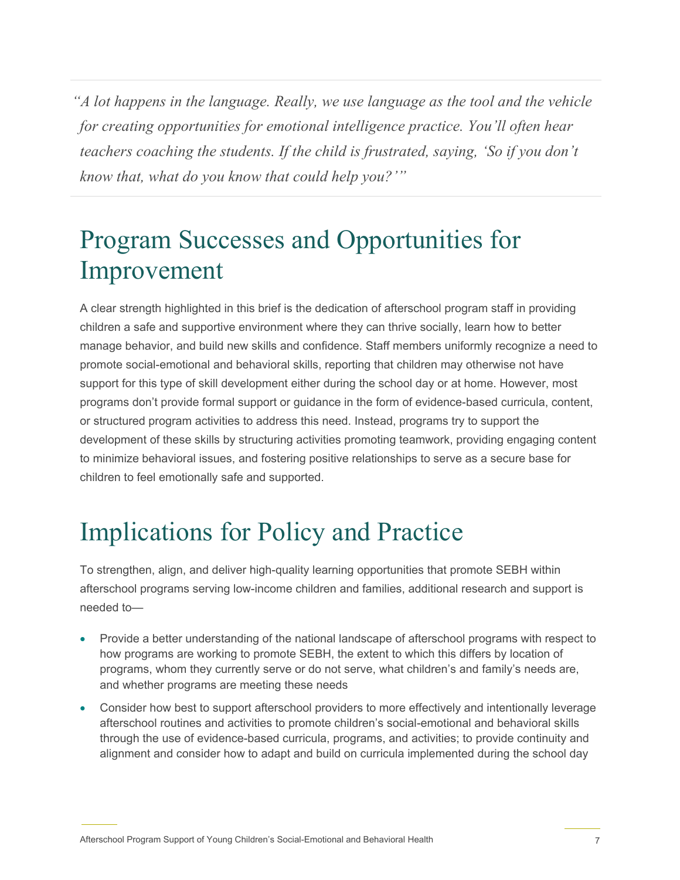*"A lot happens in the language. Really, we use language as the tool and the vehicle for creating opportunities for emotional intelligence practice. You'll often hear teachers coaching the students. If the child is frustrated, saying, 'So if you don't know that, what do you know that could help you?'"*

# Program Successes and Opportunities for Improvement

A clear strength highlighted in this brief is the dedication of afterschool program staff in providing children a safe and supportive environment where they can thrive socially, learn how to better manage behavior, and build new skills and confidence. Staff members uniformly recognize a need to promote social-emotional and behavioral skills, reporting that children may otherwise not have support for this type of skill development either during the school day or at home. However, most programs don't provide formal support or guidance in the form of evidence-based curricula, content, or structured program activities to address this need. Instead, programs try to support the development of these skills by structuring activities promoting teamwork, providing engaging content to minimize behavioral issues, and fostering positive relationships to serve as a secure base for children to feel emotionally safe and supported.

# Implications for Policy and Practice

To strengthen, align, and deliver high-quality learning opportunities that promote SEBH within afterschool programs serving low-income children and families, additional research and support is needed to—

- Provide a better understanding of the national landscape of afterschool programs with respect to how programs are working to promote SEBH, the extent to which this differs by location of programs, whom they currently serve or do not serve, what children's and family's needs are, and whether programs are meeting these needs
- Consider how best to support afterschool providers to more effectively and intentionally leverage afterschool routines and activities to promote children's social-emotional and behavioral skills through the use of evidence-based curricula, programs, and activities; to provide continuity and alignment and consider how to adapt and build on curricula implemented during the school day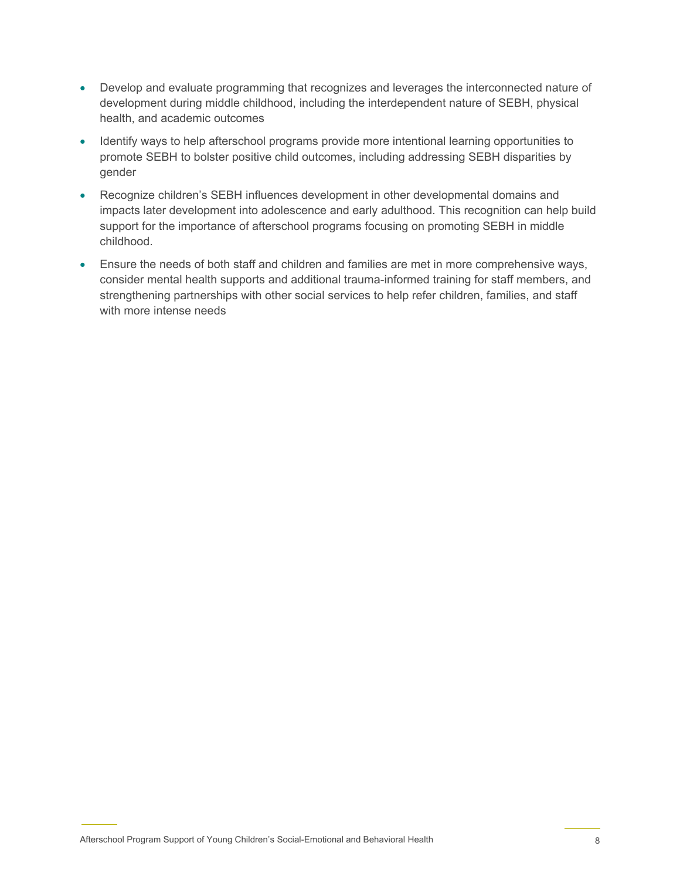- Develop and evaluate programming that recognizes and leverages the interconnected nature of development during middle childhood, including the interdependent nature of SEBH, physical health, and academic outcomes
- Identify ways to help afterschool programs provide more intentional learning opportunities to promote SEBH to bolster positive child outcomes, including addressing SEBH disparities by gender
- Recognize children's SEBH influences development in other developmental domains and impacts later development into adolescence and early adulthood. This recognition can help build support for the importance of afterschool programs focusing on promoting SEBH in middle childhood.
- Ensure the needs of both staff and children and families are met in more comprehensive ways, consider mental health supports and additional trauma-informed training for staff members, and strengthening partnerships with other social services to help refer children, families, and staff with more intense needs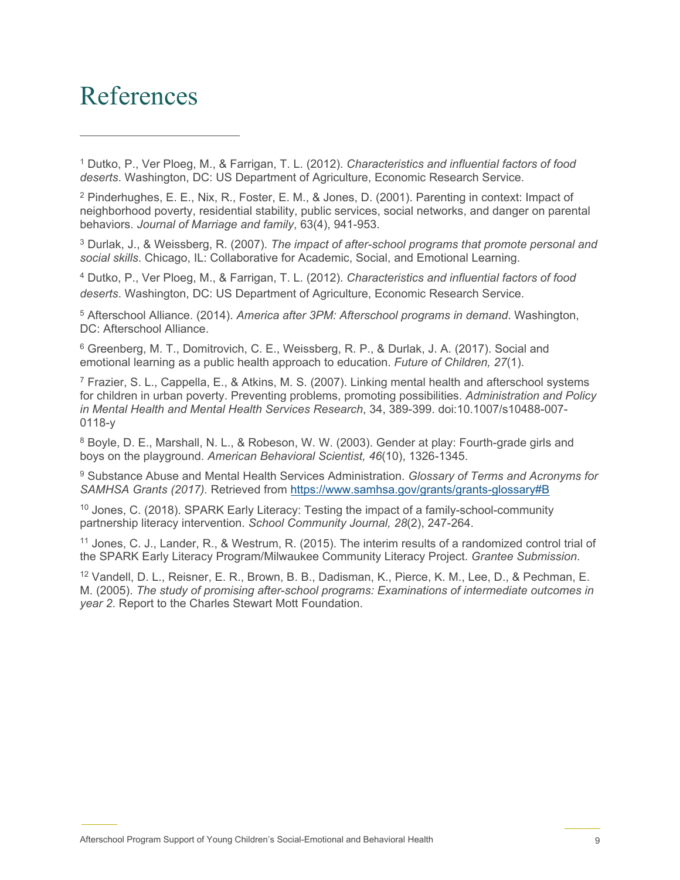### References

<span id="page-8-0"></span><sup>1</sup> Dutko, P., Ver Ploeg, M., & Farrigan, T. L. (2012). *Characteristics and influential factors of food deserts*. Washington, DC: US Department of Agriculture, Economic Research Service.

<span id="page-8-1"></span><sup>2</sup> Pinderhughes, E. E., Nix, R., Foster, E. M., & Jones, D. (2001). Parenting in context: Impact of neighborhood poverty, residential stability, public services, social networks, and danger on parental behaviors. *Journal of Marriage and family*, 63(4), 941-953.

<span id="page-8-2"></span><sup>3</sup> Durlak, J., & Weissberg, R. (2007). *The impact of after-school programs that promote personal and social skills*. Chicago, IL: Collaborative for Academic, Social, and Emotional Learning.

<span id="page-8-3"></span><sup>4</sup> Dutko, P., Ver Ploeg, M., & Farrigan, T. L. (2012). *Characteristics and influential factors of food deserts*. Washington, DC: US Department of Agriculture, Economic Research Service.

<span id="page-8-4"></span><sup>5</sup> Afterschool Alliance. (2014). *America after 3PM: Afterschool programs in demand*. Washington, DC: Afterschool Alliance.

<span id="page-8-5"></span><sup>6</sup> Greenberg, M. T., Domitrovich, C. E., Weissberg, R. P., & Durlak, J. A. (2017). Social and emotional learning as a public health approach to education. *Future of Children, 27*(1).

<span id="page-8-6"></span>7 Frazier, S. L., Cappella, E., & Atkins, M. S. (2007). Linking mental health and afterschool systems for children in urban poverty. Preventing problems, promoting possibilities. *Administration and Policy in Mental Health and Mental Health Services Research*, 34, 389-399. doi:10.1007/s10488-007- 0118-y

<span id="page-8-7"></span><sup>8</sup> Boyle, D. E., Marshall, N. L., & Robeson, W. W. (2003). Gender at play: Fourth-grade girls and boys on the playground. *American Behavioral Scientist, 46*(10), 1326-1345.

<span id="page-8-8"></span><sup>9</sup> Substance Abuse and Mental Health Services Administration. *Glossary of Terms and Acronyms for SAMHSA Grants (2017).* Retrieved from<https://www.samhsa.gov/grants/grants-glossary#B>

<span id="page-8-9"></span><sup>10</sup> Jones, C. (2018). SPARK Early Literacy: Testing the impact of a family-school-community partnership literacy intervention. *School Community Journal, 28*(2), 247-264.

<span id="page-8-10"></span><sup>11</sup> Jones, C. J., Lander, R., & Westrum, R. (2015). The interim results of a randomized control trial of the SPARK Early Literacy Program/Milwaukee Community Literacy Project. *Grantee Submission*.

<span id="page-8-11"></span><sup>12</sup> Vandell, D. L., Reisner, E. R., Brown, B. B., Dadisman, K., Pierce, K. M., Lee, D., & Pechman, E. M. (2005). *The study of promising after-school programs: Examinations of intermediate outcomes in year 2*. Report to the Charles Stewart Mott Foundation.